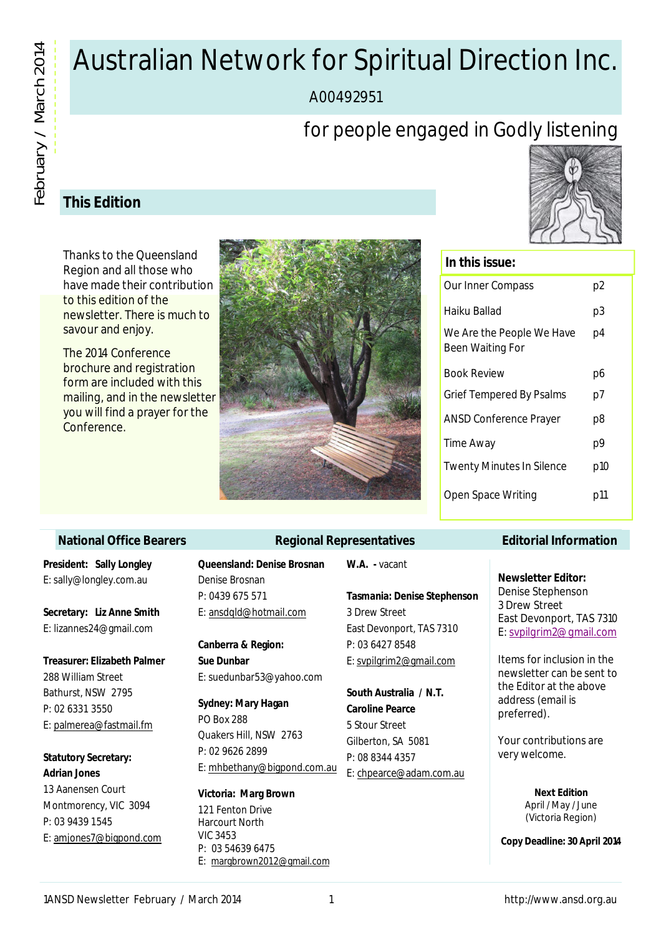# Australian Network for Spiritual Direction Inc.

A00492951

# for people engaged in Godly listening

# **This Edition**

Thanks to the Queensland Region and all those who have made their contribution to this edition of the newsletter. There is much to savour and enjoy.

The 2014 Conference brochure and registration form are included with this mailing, and in the newsletter you will find a prayer for the Conference.



# **In this issue:**

| Our Inner Compass                             | p2  |
|-----------------------------------------------|-----|
| Haiku Ballad                                  | p3  |
| We Are the People We Have<br>Been Waiting For | p4  |
| <b>Book Review</b>                            | p6  |
| Grief Tempered By Psalms                      | p7  |
| <b>ANSD Conference Prayer</b>                 | p8  |
| Time Away                                     | р9  |
| <b>Twenty Minutes In Silence</b>              | p10 |
| Open Space Writing                            | p11 |
|                                               |     |

#### **National Office Bearers**

**President: Sally Longley** E: sally@longley.com.au

**Secretary: Liz Anne Smith** E: lizannes24@gmail.com

**Treasurer: Elizabeth Palmer** 288 William Street Bathurst, NSW 2795 P: 02 6331 3550 E: palmerea@fastmail.fm

**Statutory Secretary: Adrian Jones** 13 Aanensen Court

Montmorency, VIC 3094 P: 03 9439 1545 E: amjones7@bigpond.com

### **Queensland: Denise Brosnan** Denise Brosnan P: 0439 675 571

E: ansdqld@hotmail.com

**Canberra & Region: Sue Dunbar** E: suedunbar53@yahoo.com

**Sydney: Mary Hagan** PO Box 288 Quakers Hill, NSW 2763 P: 02 9626 2899 E: mhbethany@bigpond.com.au

**Victoria: Marg Brown** 121 Fenton Drive Harcourt North VIC 3453 P: 03 54639 6475 E: margbrown2012@gmail.com

#### **W.A. -** vacant

**Regional Representatives**

#### **Tasmania: Denise Stephenson**

3 Drew Street East Devonport, TAS 7310 P: 03 6427 8548 E: svpilgrim2@gmail.com

**South Australia / N.T. Caroline Pearce** 5 Stour Street Gilberton, SA 5081 P: 08 8344 4357 E: chpearce@adam.com.au

#### **Editorial Information**

**Newsletter Editor:** Denise Stephenson 3 Drew Street East Devonport, TAS 7310 E: svpilgrim2@gmail.com

Items for inclusion in the newsletter can be sent to the Editor at the above address (email is preferred).

Your contributions are very welcome.

> **Next Edition** April / May / June (Victoria Region)

**Copy Deadline: 30 April 2014**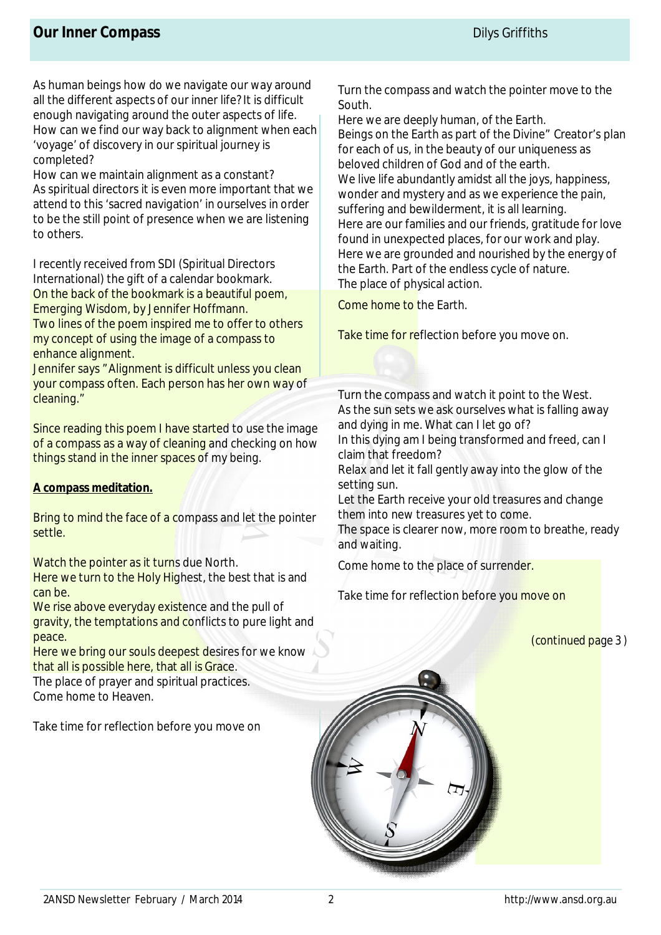As human beings how do we navigate our way around all the different aspects of our inner life? It is difficult enough navigating around the outer aspects of life. How can we find our way back to alignment when each 'voyage' of discovery in our spiritual journey is completed?

How can we maintain alignment as a constant? As spiritual directors it is even more important that we attend to this 'sacred navigation' in ourselves in order to be the still point of presence when we are listening to others.

I recently received from SDI (Spiritual Directors International) the gift of a calendar bookmark. On the back of the bookmark is a beautiful poem, Emerging Wisdom, by Jennifer Hoffmann. Two lines of the poem inspired me to offer to others my concept of using the image of a compass to enhance alignment.

Jennifer says "Alignment is difficult unless you clean your compass often. Each person has her own way of cleaning."

Since reading this poem I have started to use the image of a compass as a way of cleaning and checking on how things stand in the inner spaces of my being.

### **A compass meditation.**

Bring to mind the face of a compass and let the pointer settle.

Watch the pointer as it turns due North.

Here we turn to the Holy Highest, the best that is and can be.

We rise above everyday existence and the pull of gravity, the temptations and conflicts to pure light and peace.

Here we bring our souls deepest desires for we know that all is possible here, that all is Grace.

The place of prayer and spiritual practices. Come home to Heaven.

Take time for reflection before you move on

Turn the compass and watch the pointer move to the South.

Here we are deeply human, of the Earth. Beings on the Earth as part of the Divine" Creator's plan for each of us, in the beauty of our uniqueness as beloved children of God and of the earth. We live life abundantly amidst all the joys, happiness, wonder and mystery and as we experience the pain, suffering and bewilderment, it is all learning. Here are our families and our friends, gratitude for love found in unexpected places, for our work and play. Here we are grounded and nourished by the energy of the Earth. Part of the endless cycle of nature. The place of physical action.

Come home to the Earth.

Take time for reflection before you move on.

Turn the compass and watch it point to the West. As the sun sets we ask ourselves what is falling away and dying in me. What can I let go of? In this dying am I being transformed and freed, can I

claim that freedom?

Relax and let it fall gently away into the glow of the setting sun.

Let the Earth receive your old treasures and change them into new treasures yet to come.

The space is clearer now, more room to breathe, ready and waiting.

Come home to the place of surrender.

Take time for reflection before you move on

*(continued page 3 )*

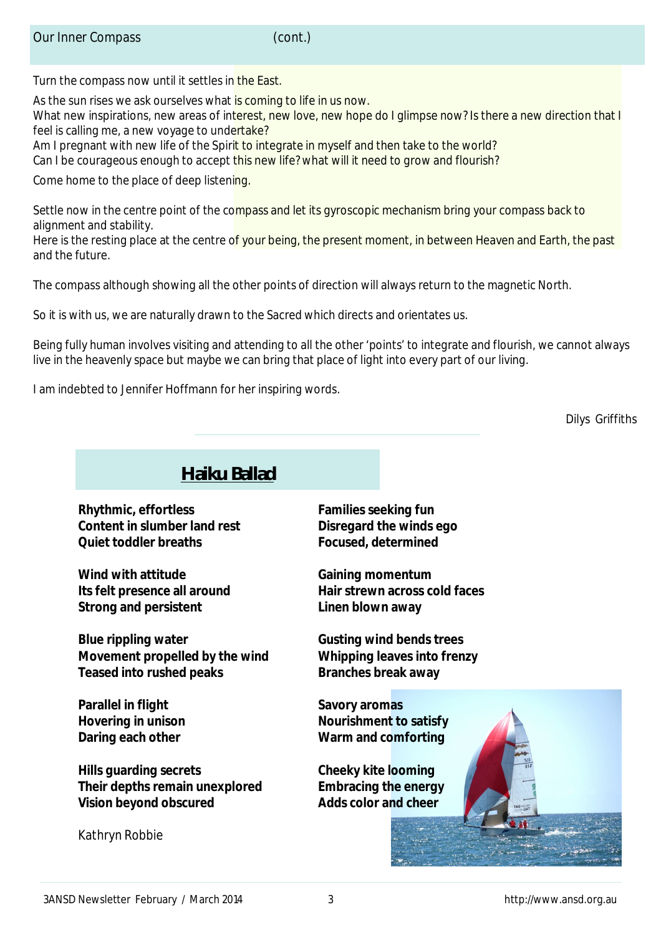Turn the compass now until it settles in the East.

As the sun rises we ask ourselves what is coming to life in us now.

What new inspirations, new areas of interest, new love, new hope do I glimpse now? Is there a new direction that I feel is calling me, a new voyage to undertake?

Am I pregnant with new life of the Spirit to integrate in myself and then take to the world?

Can I be courageous enough to accept this new life? what will it need to grow and flourish?

Come home to the place of deep listening.

Settle now in the centre point of the compass and let its gyroscopic mechanism bring your compass back to alignment and stability.

Here is the resting place at the centre of your being, the present moment, in between Heaven and Earth, the past and the future.

The compass although showing all the other points of direction will always return to the magnetic North.

So it is with us, we are naturally drawn to the Sacred which directs and orientates us.

Being fully human involves visiting and attending to all the other 'points' to integrate and flourish, we cannot always live in the heavenly space but maybe we can bring that place of light into every part of our living.

I am indebted to Jennifer Hoffmann for her inspiring words.

Dilys Griffiths

# **Haiku Ballad**

**Rhythmic, effortless Families seeking fun Content in slumber land rest Disregard the winds ego Quiet toddler breaths Focused, determined**

**Wind with attitude Gaining momentum Strong and persistent Linen blown away**

**Blue rippling water Gusting wind bends trees Movement propelled by the wind Whipping leaves into frenzy Teased into rushed peaks Branches break away**

**Parallel in flight Savory aromas** 

**Hills guarding secrets Cheeky kite looming Their depths remain unexplored Embracing the energy Vision beyond obscured Adds color and cheer**

*Kathryn Robbie*

**Its felt presence all around Hair strewn across cold faces**

**Hovering in unison Nourishment to satisfy Daring each other Warm and comforting**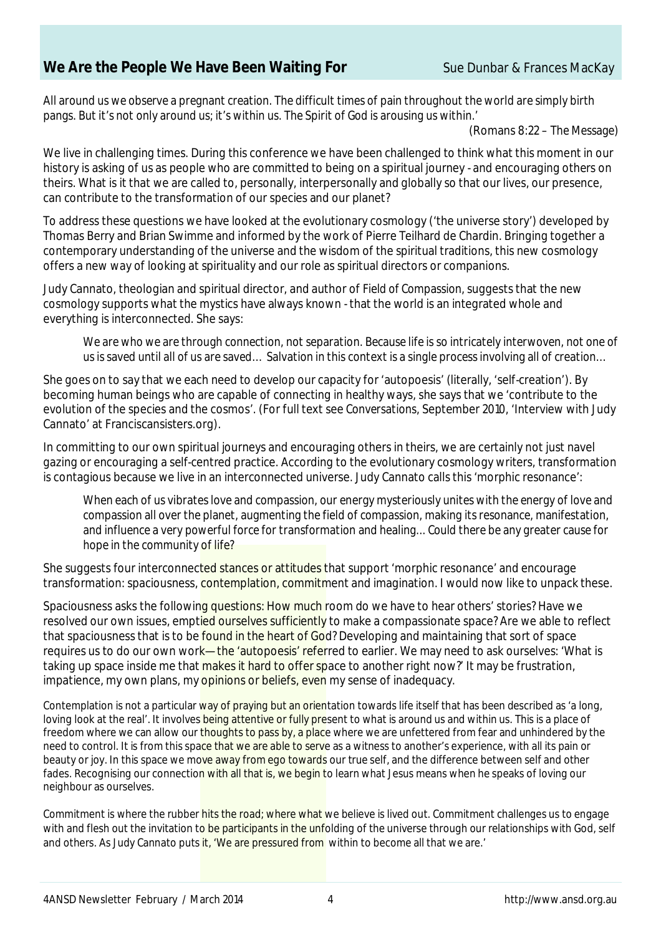# **We Are the People We Have Been Waiting For** Sue Dunbar & Frances MacKay

*All around us we observe a pregnant creation. The difficult times of pain throughout the world are simply birth pangs. But it's not only around us; it's within us. The Spirit of God is arousing us within.'* 

(Romans 8:22 – *The Message*)

We live in challenging times. During this conference we have been challenged to think what this moment in our history is asking of us as people who are committed to being on a spiritual journey - and encouraging others on theirs. What is it that we are called to, personally, interpersonally and globally so that our lives, our presence, can contribute to the transformation of our species and our planet?

To address these questions we have looked at the evolutionary cosmology ('the universe story') developed by Thomas Berry and Brian Swimme and informed by the work of Pierre Teilhard de Chardin. Bringing together a contemporary understanding of the universe and the wisdom of the spiritual traditions, this new cosmology offers a new way of looking at spirituality and our role as spiritual directors or companions.

Judy Cannato, theologian and spiritual director, and author of *Field of Compassion,* suggests that the new cosmology supports what the mystics have always known - that the world is an integrated whole and everything is interconnected. She says:

*We are who we are through connection, not separation. Because life is so intricately interwoven, not one of us is saved until all of us are saved… Salvation in this context is a single process involving all of creation…* 

She goes on to say that we each need to develop our capacity for 'autopoesis' (literally, 'self-creation'). By becoming human beings who are capable of connecting in healthy ways, she says that we 'contribute to the evolution of the species and the cosmos'. (For full text see *Conversations*, September 2010, 'Interview with Judy Cannato' at Franciscansisters.org).

In committing to our own spiritual journeys and encouraging others in theirs, we are certainly not just navel gazing or encouraging a self-centred practice. According to the evolutionary cosmology writers, transformation is contagious because we live in an interconnected universe. Judy Cannato calls this 'morphic resonance':

*When each of us vibrates love and compassion, our energy mysteriously unites with the energy of love and compassion all over the planet, augmenting the field of compassion, making its resonance, manifestation, and influence a very powerful force for transformation and healing... Could there be any greater cause for hope in the community of life?* 

She suggests four interconnected stances or attitudes that support 'morphic resonance' and encourage transformation: spaciousness, contemplation, commitment and imagination. I would now like to unpack these.

Spaciousness asks the following questions: How much room do we have to hear others' stories? Have we resolved our own issues, emptied ourselves sufficiently to make a compassionate space? Are we able to reflect that spaciousness that is to be found in the heart of God? Developing and maintaining that sort of space requires us to do our own work—the 'autopoesis' referred to earlier. We may need to ask ourselves: 'What is taking up space inside me that makes it hard to offer space to another right now?' It may be frustration, impatience, my own plans, my opinions or beliefs, even my sense of inadequacy.

Contemplation is not a particular way of praying but an orientation towards life itself that has been described as 'a long, loving look at the real'. It involves being attentive or fully present to what is around us and within us. This is a place of freedom where we can allow our thoughts to pass by, a place where we are unfettered from fear and unhindered by the need to control. It is from this space that we are able to serve as a witness to another's experience, with all its pain or beauty or joy. In this space we move away from ego towards our true self, and the difference between self and other fades. Recognising our connection with all that is, we begin to learn what Jesus means when he speaks of loving our neighbour as ourselves.

Commitment is where the rubber hits the road; where what we believe is lived out. Commitment challenges us to engage with and flesh out the invitation to be participants in the unfolding of the universe through our relationships with God, self and others. As Judy Cannato puts it, 'We are pressured from within to become all that we are.'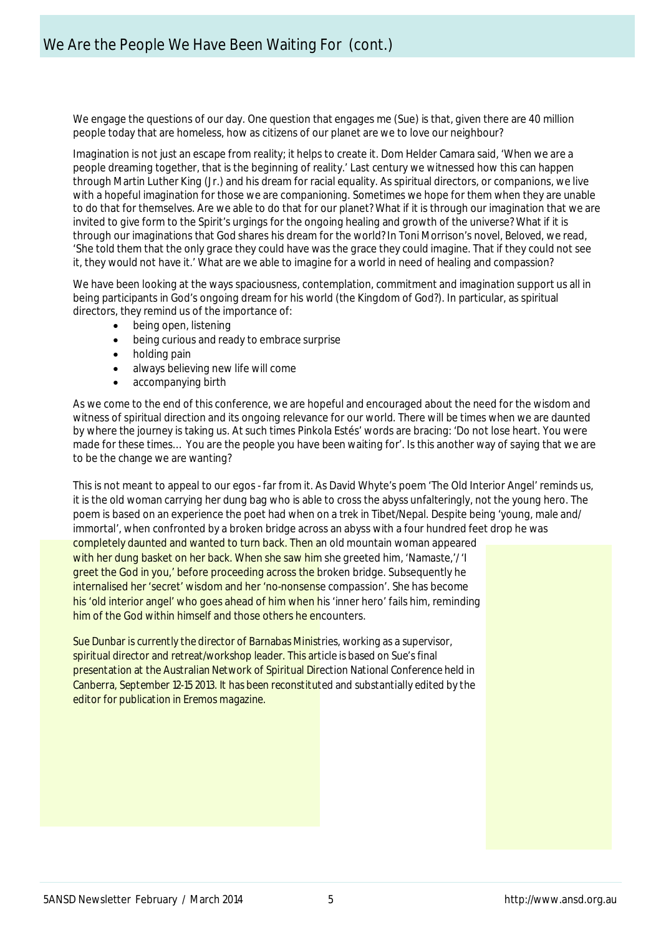We engage the questions of our day. One question that engages me (Sue) is that, given there are 40 million people today that are homeless, how as citizens of our planet are we to love our neighbour?

Imagination is not just an escape from reality; it helps to create it. Dom Helder Camara said, 'When we are a people dreaming together, that is the beginning of reality.' Last century we witnessed how this can happen through Martin Luther King (Jr.) and his dream for racial equality. As spiritual directors, or companions, we live with a hopeful imagination for those we are companioning. Sometimes we hope for them when they are unable to do that for themselves. Are we able to do that for our planet? What if it is through our imagination that we are invited to give form to the Spirit's urgings for the ongoing healing and growth of the universe? What if it is through our imaginations that God shares his dream for the world? In Toni Morrison's novel, *Beloved*, we read, 'She told them that the only grace they could have was the grace they could imagine. That if they could not see it, they would not have it.' What are we able to imagine for a world in need of healing and compassion?

We have been looking at the ways spaciousness, contemplation, commitment and imagination support us all in being participants in God's ongoing dream for his world (the Kingdom of God?). In particular, as spiritual directors, they remind us of the importance of:

- being open, listening
- being curious and ready to embrace surprise
- holding pain
- always believing new life will come
- accompanying birth

As we come to the end of this conference, we are hopeful and encouraged about the need for the wisdom and witness of spiritual direction and its ongoing relevance for our world. There will be times when we are daunted by where the journey is taking us. At such times Pinkola Estés' words are bracing: 'Do not lose heart. You were made for these times… You are the people you have been waiting for'. Is this another way of saying that we are to be the change we are wanting?

This is not meant to appeal to our egos - far from it. As David Whyte's poem 'The Old Interior Angel' reminds us, it is the old woman carrying her dung bag who is able to cross the abyss unfalteringly, not the young hero. The poem is based on an experience the poet had when on a trek in Tibet/Nepal. Despite being 'young, male and/ immortal', when confronted by a broken bridge across an abyss with a four hundred feet drop he was completely daunted and wanted to turn back. Then an old mountain woman appeared with her dung basket on her back. When she saw him she greeted him, 'Namaste,'/' greet the God in you,' before proceeding across the broken bridge. Subsequently he internalised her 'secret' wisdom and her 'no-nonsense compassion'. She has become his 'old interior angel' who goes ahead of him when his 'inner hero' fails him, reminding him of the God within himself and those others he encounters.

*Sue Dunbar is currently the director of Barnabas Ministries, working as a supervisor, spiritual director and retreat/workshop leader. This article is based on Sue's final presentation at the Australian Network of Spiritual Direction National Conference held in Canberra, September 12-15 2013. It has been reconstituted and substantially edited by the editor for publication in Eremos magazine.*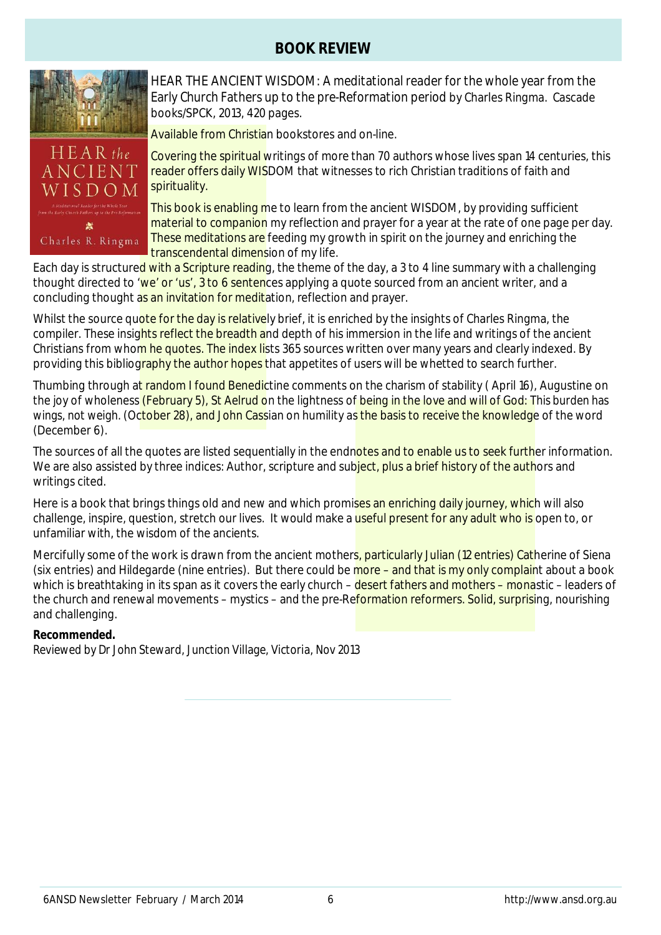# **BOOK REVIEW**



HEAR THE ANCIENT WISDOM: *A meditational reader for the whole year from the Early Church Fathers up to the pre-Reformation period* by Charles Ringma. Cascade books/SPCK, 2013, 420 pages.

Available from Christian bookstores and on-line.

Covering the spiritual writings of more than 70 authors whose lives span 14 centuries, this reader offers daily WISDOM that witnesses to rich Christian traditions of faith and spirituality.

This book is enabling me to learn from the ancient WISDOM, by providing sufficient material to companion my reflection and prayer for a year at the rate of one page per day. These meditations are feeding my growth in spirit on the journey and enriching the transcendental dimension of my life.

Each day is structured with a Scripture reading, the theme of the day, a 3 to 4 line summary with a challenging thought directed to 'we' or 'us', 3 to 6 sentences applying a quote sourced from an ancient writer, and a concluding thought as an invitation for meditation, reflection and prayer.

Whilst the source quote for the day is relatively brief, it is enriched by the insights of Charles Ringma, the compiler. These insights reflect the breadth and depth of his immersion in the life and writings of the ancient Christians from whom he quotes. The index lists 365 sources written over many years and clearly indexed. By providing this bibliography the author hopes that appetites of users will be whetted to search further.

Thumbing through at random I found Benedictine comments on the charism of stability (April 16), Augustine on the joy of wholeness (February 5), St Aelrud on the lightness of being in the love and will of God: *This burden has wings, not weigh.* (October 28), and John Cassian on humility as the basis to receive the knowledge of the word (December 6).

The sources of all the quotes are listed sequentially in the endnotes and to enable us to seek further information. We are also assisted by three indices: Author, scripture and subject, plus a brief history of the authors and writings cited.

Here is a book that brings things old and new and which promises an enriching daily journey, which will also challenge, inspire, question, stretch our lives. It would make a useful present for any adult who is open to, or unfamiliar with, the wisdom of the ancients.

Mercifully some of the work is drawn from the ancient mothers, particularly Julian (12 entries) Catherine of Siena (six entries) and Hildegarde (nine entries). But there could be more – and that is my only complaint about a book which is breathtaking in its span as it covers the early church – desert fathers and mothers – monastic – leaders of the church and renewal movements – mystics – and the pre-Reformation reformers. Solid, surprising, nourishing and challenging.

### **Recommended.**

*Reviewed by Dr John Steward, Junction Village, Victoria, Nov 2013*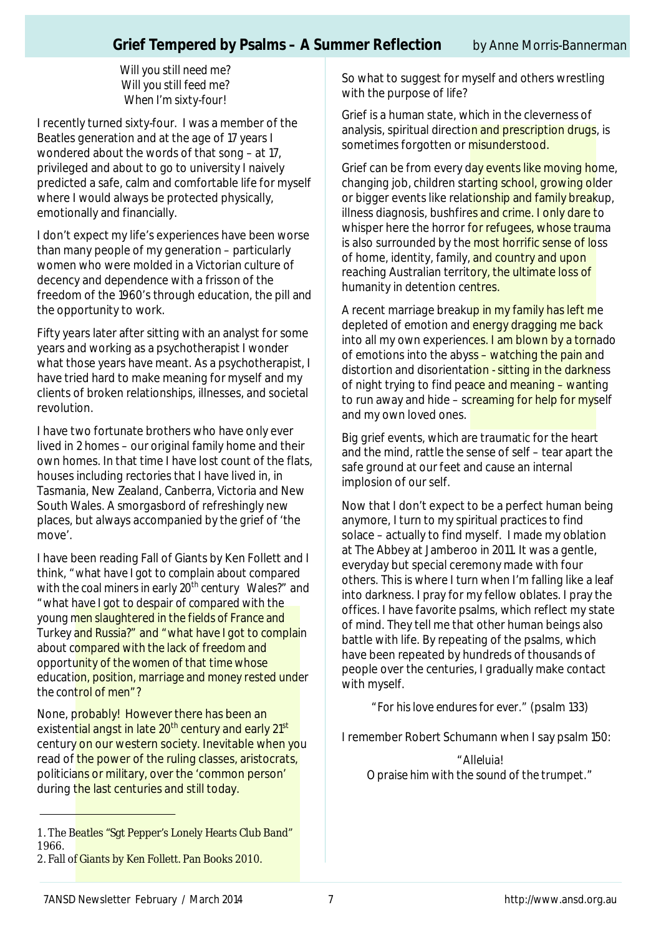*Will you still need me? Will you still feed me? When I'm sixty-four*!

I recently turned sixty-four. I was a member of the Beatles generation and at the age of 17 years I wondered about the words of that song – at 17, privileged and about to go to university I naively predicted a safe, calm and comfortable life for myself where I would always be protected physically, emotionally and financially.

I don't expect my life's experiences have been worse than many people of my generation – particularly women who were molded in a Victorian culture of decency and dependence with a frisson of the freedom of the 1960's through education, the pill and the opportunity to work.

Fifty years later after sitting with an analyst for some years and working as a psychotherapist I wonder what those years have meant. As a psychotherapist, I have tried hard to make meaning for myself and my clients of broken relationships, illnesses, and societal revolution.

I have two fortunate brothers who have only ever lived in 2 homes – our original family home and their own homes. In that time I have lost count of the flats, houses including rectories that I have lived in, in Tasmania, New Zealand, Canberra, Victoria and New South Wales. A smorgasbord of refreshingly new places, but always accompanied by the grief of 'the move'.

I have been reading Fall of Giants by Ken Follett and I think, *"what have I got to complain about compared with the coal miners in early 20th century Wales?"* and *"what have I got to despair of compared with the young men slaughtered in the fields of France and Turkey and Russia?"* and *"what have I got to complain about compared with the lack of freedom and opportunity of the women of that time whose education, position, marriage and money rested under the control of men"?*

None, probably! However there has been an existential angst in late 20<sup>th</sup> century and early 21<sup>st</sup> century on our western society. Inevitable when you read of the power of the ruling classes, aristocrats, politicians or military, over the 'common person' during the last centuries and still today.

So what to suggest for myself and others wrestling with the purpose of life?

Grief is a human state, which in the cleverness of analysis, spiritual direction and prescription drugs, is sometimes forgotten or misunderstood.

Grief can be from every day events like moving home, changing job, children starting school, growing older or bigger events like relationship and family breakup, illness diagnosis, bushfires and crime. I only dare to whisper here the horror for refugees, whose trauma is also surrounded by the most horrific sense of loss of home, identity, family, and country and upon reaching Australian territory, the ultimate loss of humanity in detention centres.

A recent marriage breakup in my family has left me depleted of emotion and energy dragging me back into all my own experiences. I am blown by a tornado of emotions into the abyss – watching the pain and distortion and disorientation - sitting in the darkness of night trying to find peace and meaning – wanting to run away and hide – screaming for help for myself and my own loved ones.

Big grief events, which are traumatic for the heart and the mind, rattle the sense of self – tear apart the safe ground at our feet and cause an internal implosion of our self.

Now that I don't expect to be a perfect human being anymore, I turn to my spiritual practices to find solace – actually to find myself. I made my oblation at The Abbey at Jamberoo in 2011. It was a gentle, everyday but special ceremony made with four others. This is where I turn when I'm falling like a leaf into darkness. I pray for my fellow oblates. I pray the offices. I have favorite psalms, which reflect my state of mind. They tell me that other human beings also battle with life. By repeating of the psalms, which have been repeated by hundreds of thousands of people over the centuries, I gradually make contact with myself.

*"For his love endures for ever."* (psalm 133)

I remember Robert Schumann when I say psalm 150:

"*Alleluia! O praise him with the sound of the trumpet*."

<sup>1.</sup> The Beatles "Sgt Pepper's Lonely Hearts Club Band" 1966.

<sup>2.</sup> Fall of Giants by Ken Follett. Pan Books 2010.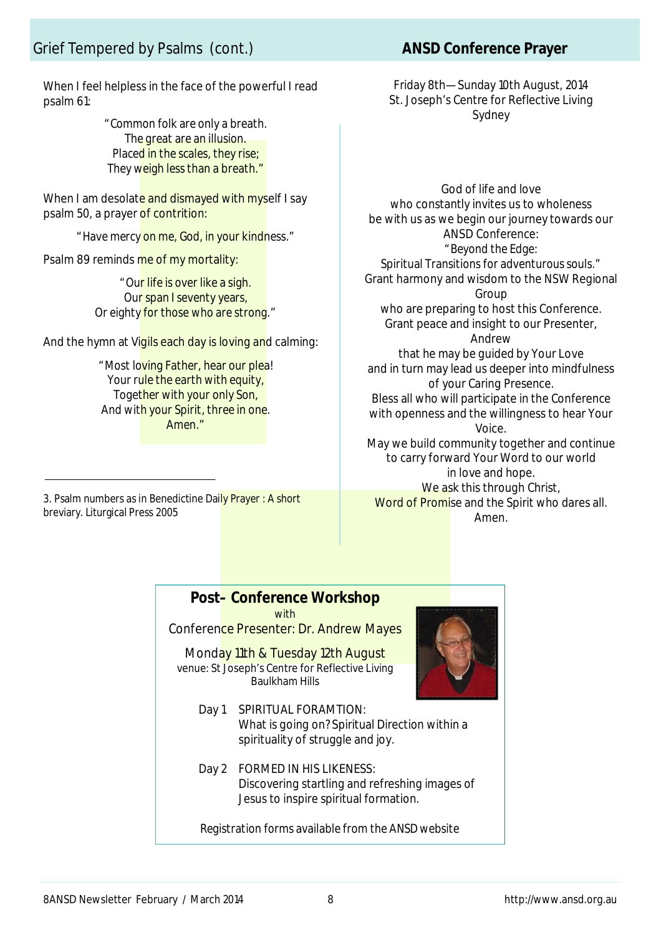When I feel helpless in the face of the powerful I read psalm 61:

> "*Common folk are only a breath. The great are an illusion. Placed in the scales, they rise; They weigh less than a breath*."

When I am desolate and dismayed with myself I say psalm 50, a prayer of contrition:

"*Have mercy on me, God, in your kindness*."

Psalm 89 reminds me of my mortality:

"*Our life is over like a sigh. Our span I seventy years, Or eighty for those who are strong*."

And the hymn at Vigils each day is loving and calming:

"*Most loving Father, hear our plea! Your rule the earth with equity, Together with your only Son, And with your Spirit, three in one. Amen*."

3. Psalm numbers as in Benedictine Daily Prayer : A short breviary. Liturgical Press 2005

Friday 8th—Sunday 10th August, 2014 St. Joseph's Centre for Reflective Living Sydney

God of life and love who constantly invites us to wholeness be with us as we begin our journey towards our ANSD Conference: *"Beyond the Edge: Spiritual Transitions for adventurous souls."* Grant harmony and wisdom to the NSW Regional Group who are preparing to host this Conference. Grant peace and insight to our Presenter, Andrew that he may be guided by Your Love and in turn may lead us deeper into mindfulness of your Caring Presence. Bless all who will participate in the Conference with openness and the willingness to hear Your Voice. May we build community together and continue to carry forward Your Word to our world in love and hope. We ask this through Christ, Word of Promise and the Spirit who dares all. Amen.

## **Post– Conference Workshop**

with

Conference Presenter: Dr. Andrew Mayes

Monday 11th & Tuesday 12th August venue: St Joseph's Centre for Reflective Living Baulkham Hills



- Day 1 SPIRITUAL FORAMTION: What is going on? Spiritual Direction within a spirituality of struggle and joy.
- Day 2 FORMED IN HIS LIKENESS: Discovering startling and refreshing images of Jesus to inspire spiritual formation.

*Registration forms available from the ANSD website*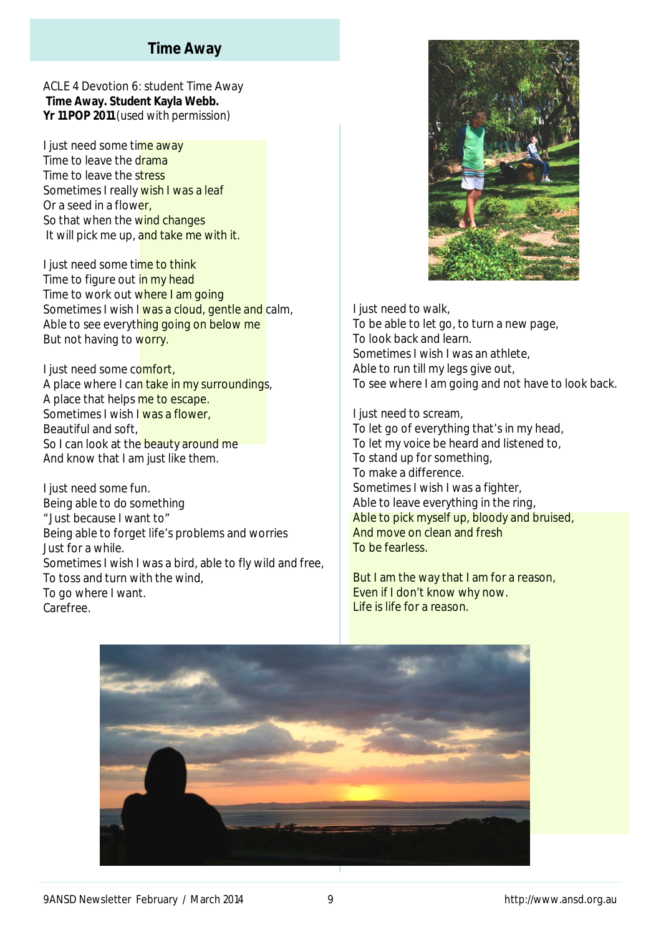## **Time Away**

ACLE 4 Devotion 6: student Time Away **Time Away. Student Kayla Webb. Yr 11 POP 2011** *(used with permission)*

I just need some time away Time to leave the drama Time to leave the stress Sometimes I really wish I was a leaf Or a seed in a flower, So that when the wind changes It will pick me up, and take me with it.

I just need some time to think Time to figure out in my head Time to work out where I am going Sometimes I wish I was a cloud, gentle and calm, Able to see everything going on below me But not having to worry.

I just need some comfort, A place where I can take in my surroundings, A place that helps me to escape. Sometimes I wish I was a flower, Beautiful and soft, So I can look at the beauty around me And know that I am just like them.

I just need some fun. Being able to do something "Just because I want to" Being able to forget life's problems and worries Just for a while. Sometimes I wish I was a bird, able to fly wild and free, To toss and turn with the wind, To go where I want. Carefree.



I just need to walk, To be able to let go, to turn a new page, To look back and learn. Sometimes I wish I was an athlete, Able to run till my legs give out, To see where I am going and not have to look back.

I just need to scream, To let go of everything that's in my head, To let my voice be heard and listened to, To stand up for something, To make a difference. Sometimes I wish I was a fighter, Able to leave everything in the ring, Able to pick myself up, bloody and bruised, And move on clean and fresh To be fearless.

But I am the way that I am for a reason, Even if I don't know why now. Life is life for a reason.

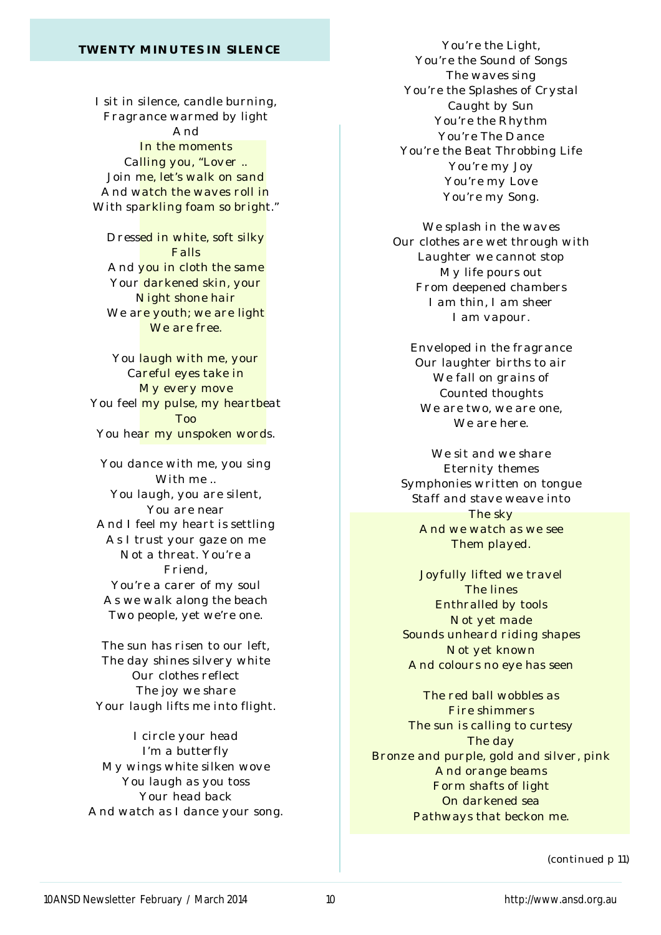#### *TWENTY MINUTES IN SILENCE*

*I sit in silence, candle burning, Fragrance warmed by light And In the moments Calling you, "Lover .. Join me, let's walk on sand And watch the waves roll in With sparkling foam so bright."*

*Dressed in white, soft silky Falls And you in cloth the same Your darkened skin, your Night shone hair We are youth; we are light We are free.*

*You laugh with me, your Careful eyes take in My every move You feel my pulse, my heartbeat Too You hear my unspoken words.*

*You dance with me, you sing With me .. You laugh, you are silent, You are near And I feel my heart is settling As I trust your gaze on me Not a threat. You're a Friend, You're a carer of my soul As we walk along the beach Two people, yet we're one.*

*The sun has risen to our left, The day shines silvery white Our clothes reflect The joy we share Your laugh lifts me into flight.*

*I circle your head I'm a butterfly My wings white silken wove You laugh as you toss Your head back And watch as I dance your song.*

*You're the Light, You're the Sound of Songs The waves sing You're the Splashes of Crystal Caught by Sun You're the Rhythm You're The Dance You're the Beat Throbbing Life You're my Joy You're my Love You're my Song.*

*We splash in the waves Our clothes are wet through with Laughter we cannot stop My life pours out From deepened chambers I am thin, I am sheer I am vapour.*

*Enveloped in the fragrance Our laughter births to air We fall on grains of Counted thoughts We are two, we are one, We are here.*

*We sit and we share Eternity themes Symphonies written on tongue Staff and stave weave into The sky And we watch as we see Them played.*

*Joyfully lifted we travel The lines Enthralled by tools Not yet made Sounds unheard riding shapes Not yet known And colours no eye has seen*

*The red ball wobbles as Fire shimmers The sun is calling to curtesy The day Bronze and purple, gold and silver, pink And orange beams Form shafts of light On darkened sea Pathways that beckon me.*

*(continued p 11)*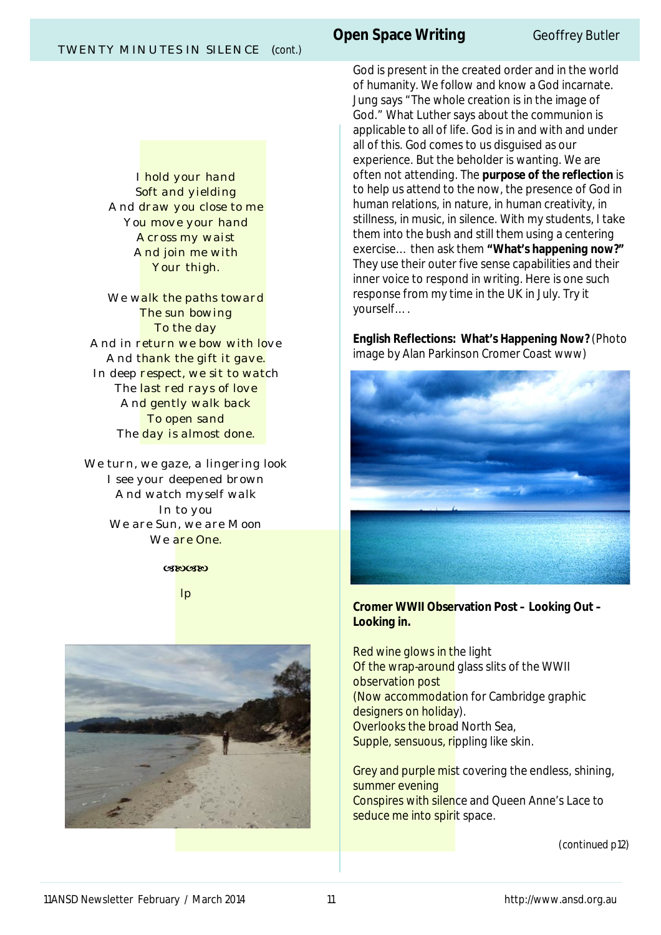*I hold your hand Soft and yielding And draw you close to me You move your hand Across my waist And join me with Your thigh.*

*We walk the paths toward The sun bowing To the day And in return we bow with love And thank the gift it gave. In deep respect, we sit to watch The last red rays of love And gently walk back To open sand The day is almost done.*

*We turn, we gaze, a lingering look I see your deepened brown And watch myself walk In to you We are Sun, we are Moon We are One.*

#### $(XR) (XR)$

*lp*



# **Open Space Writing CENTER Geoffrey Butler**

God is present in the created order and in the world of humanity. We follow and know a God incarnate. Jung says "The whole creation is in the image of God." What Luther says about the communion is applicable to all of life. God is in and with and under all of this. God comes to us disguised as our experience. But the beholder is wanting. We are often not attending. The **purpose of the reflection** is to help us attend to the now, the presence of God in human relations, in nature, in human creativity, in stillness, in music, in silence. With my students, I take them into the bush and still them using a centering exercise… then ask them **"What's happening now?"** They use their outer five sense capabilities and their inner voice to respond in writing. Here is one such response from my time in the UK in July. Try it yourself….

**English Reflections: What's Happening Now?** (Photo image by Alan Parkinson Cromer Coast www)



### **Cromer WWII Observation Post – Looking Out – Looking in.**

Red wine glows in the light Of the wrap-around glass slits of the WWII observation post (Now accommodation for Cambridge graphic designers on holiday). Overlooks the broad North Sea, Supple, sensuous, rippling like skin.

Grey and purple mist covering the endless, shining, summer evening Conspires with silence and Queen Anne's Lace to seduce me into spirit space.

*(continued p12)*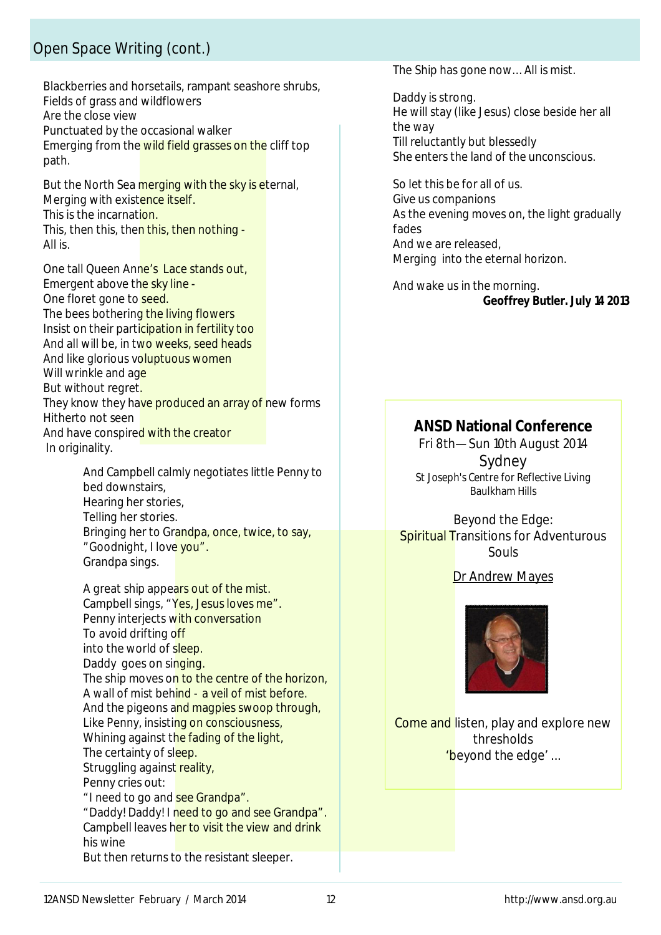# Open Space Writing (cont.)

Blackberries and horsetails, rampant seashore shrubs, Fields of grass and wildflowers Are the close view Punctuated by the occasional walker Emerging from the wild field grasses on the cliff top path.

But the North Sea merging with the sky is eternal, Merging with existence itself. This is the incarnation. This, then this, then this, then nothing -All is.

One tall Queen Anne's Lace stands out, Emergent above the sky line -One floret gone to seed. The bees bothering the living flowers Insist on their participation in fertility too And all will be, in two weeks, seed heads And like glorious voluptuous women Will wrinkle and age But without regret. They know they have produced an array of new forms Hitherto not seen And have conspired with the creator In originality.

> And Campbell calmly negotiates little Penny to bed downstairs, Hearing her stories, Telling her stories. Bringing her to Grandpa, once, twice, to say, "Goodnight, I love you". Grandpa sings.

A great ship appears out of the mist. Campbell sings, "Yes, Jesus loves me". Penny interjects with conversation To avoid drifting off into the world of sleep. Daddy goes on singing. The ship moves on to the centre of the horizon, A wall of mist behind - a veil of mist before. And the pigeons and magpies swoop through, Like Penny, insisting on consciousness, Whining against the fading of the light, The certainty of sleep. Struggling against reality, Penny cries out: "I need to go and see Grandpa". "Daddy! Daddy! I need to go and see Grandpa". Campbell leaves her to visit the view and drink his wine But then returns to the resistant sleeper.

The Ship has gone now…All is mist.

Daddy is strong. He will stay (like Jesus) close beside her all the way Till reluctantly but blessedly She enters the land of the unconscious.

So let this be for all of us. Give us companions As the evening moves on, the light gradually fades And we are released, Merging into the eternal horizon.

And wake us in the morning. **Geoffrey Butler. July 14 2013**

# **ANSD National Conference**

Fri 8th—Sun 10th August 2014 Sydney *St Joseph's Centre for Reflective Living Baulkham Hills*

Beyond the Edge: **Spiritual Transitions for Adventurous** Souls

### Dr Andrew Mayes



Come and listen, play and explore new thresholds 'beyond the edge' ...